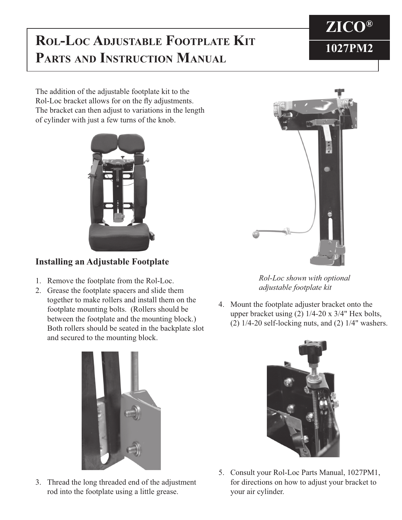## **ROL-LOC ADJUSTABLE FOOTPLATE KIT** 1027PM2 **PARTS AND INSTRUCTION MANUAL**



The addition of the adjustable footplate kit to the Rol-Loc bracket allows for on the fly adjustments. The bracket can then adjust to variations in the length of cylinder with just a few turns of the knob.



## **Installing an Adjustable Footplate**

- 1. Remove the footplate from the Rol-Loc.
- 2. Grease the footplate spacers and slide them together to make rollers and install them on the footplate mounting bolts. (Rollers should be between the footplate and the mounting block.) Both rollers should be seated in the backplate slot and secured to the mounting block.



*Rol-Loc shown with optional adjustable footplate kit*

4. Mount the footplate adjuster bracket onto the upper bracket using (2) 1/4-20 x 3/4" Hex bolts,  $(2)$  1/4-20 self-locking nuts, and  $(2)$  1/4" washers.



3. Thread the long threaded end of the adjustment rod into the footplate using a little grease.



5. Consult your Rol-Loc Parts Manual, 1027PM1, for directions on how to adjust your bracket to your air cylinder.